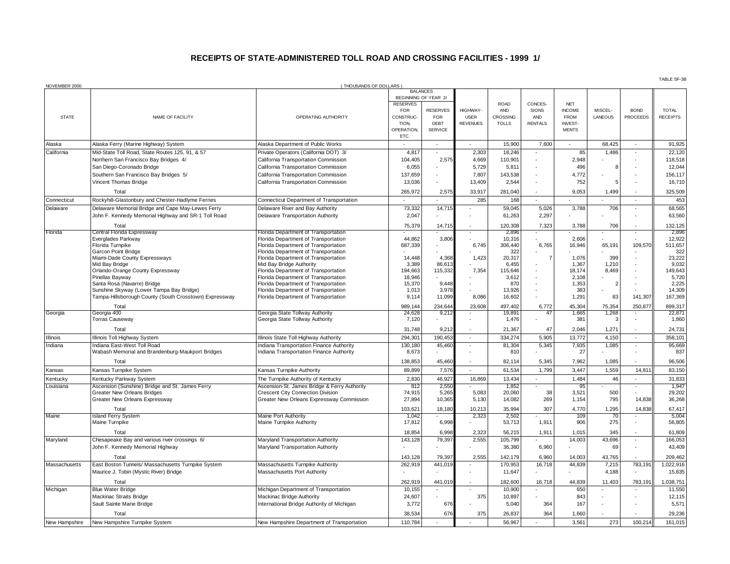## **RECEIPTS OF STATE-ADMINISTERED TOLL ROAD AND CROSSING FACILITIES - 1999 1/**

| NOVEMBER 2000         |                                                                                 | (THOUSANDS OF DOLLARS                                                                       |                         |                               |                          |                  |                     |                              |                    |                                | TABLE SF-3B                     |
|-----------------------|---------------------------------------------------------------------------------|---------------------------------------------------------------------------------------------|-------------------------|-------------------------------|--------------------------|------------------|---------------------|------------------------------|--------------------|--------------------------------|---------------------------------|
|                       |                                                                                 | <b>BALANCES</b>                                                                             |                         |                               |                          |                  |                     |                              |                    |                                |                                 |
|                       |                                                                                 |                                                                                             | BEGINNING OF YEAR 2/    |                               |                          |                  |                     |                              |                    |                                |                                 |
|                       |                                                                                 |                                                                                             | <b>RESERVES</b>         |                               |                          | ROAD             | CONCES-             | <b>NET</b>                   |                    |                                |                                 |
| <b>STATE</b>          | NAME OF FACILITY                                                                | OPERATING AUTHORITY                                                                         | <b>FOR</b><br>CONSTRUC- | <b>RESERVES</b><br><b>FOR</b> | HIGHWAY-<br><b>USER</b>  | AND<br>CROSSING  | <b>SIONS</b><br>AND | <b>INCOME</b><br><b>FROM</b> | MISCEL-<br>LANEOUS | <b>BOND</b><br><b>PROCEEDS</b> | <b>TOTAL</b><br><b>RECEIPTS</b> |
|                       |                                                                                 |                                                                                             | TION.                   | <b>DEBT</b>                   | <b>REVENUES</b>          | <b>TOLLS</b>     | <b>RENTALS</b>      | INVEST-                      |                    |                                |                                 |
|                       |                                                                                 |                                                                                             | OPERATION,              | <b>SERVICE</b>                |                          |                  |                     | <b>MENTS</b>                 |                    |                                |                                 |
|                       |                                                                                 |                                                                                             | ETC.                    |                               |                          |                  |                     |                              |                    |                                |                                 |
| Alaska                | Alaska Ferry (Marine Highway) System                                            | Alaska Department of Public Works                                                           | $\overline{a}$          | $\sim$                        |                          | 15,900           | 7,600               | $\sim$                       | 68.425             | $\sim$                         | 91,925                          |
| California            | Mid-State Toll Road, State Routes 125, 91, & 57                                 | Private Operators (California DOT) 3/                                                       | 4,817                   |                               | 2,303                    | 18,246           | $\sim$              | 85                           | 1,486              | ÷.                             | 22,120                          |
|                       | Northern San Francisco Bay Bridges 4/                                           | California Transportation Commission                                                        | 104,405                 | 2,575                         | 4,669                    | 110,901          |                     | 2,948                        |                    |                                | 118,518                         |
|                       | San Diego-Coronado Bridge                                                       | California Transportation Commission                                                        | 6,055                   |                               | 5,729                    | 5,811            |                     | 496                          | 8                  |                                | 12,044                          |
|                       | Southern San Francisco Bay Bridges 5/                                           | California Transportation Commission                                                        | 137,659                 |                               | 7,807                    | 143,538          |                     | 4,772                        |                    |                                | 156,117                         |
|                       | Vincent Thomas Bridge                                                           | California Transportation Commission                                                        | 13,036                  |                               | 13,409                   | 2,544            |                     | 752                          | 5                  |                                | 16,710                          |
|                       | Total                                                                           |                                                                                             | 265,972                 | 2,575                         | 33,917                   | 281,040          |                     | 9,053                        | 1,499              |                                | 325,509                         |
| Connecticut           | Rockyhill-Glastonbury and Chester-Hadlyme Ferries                               | Connecticut Department of Transportation                                                    |                         |                               | 285                      | 168              |                     |                              |                    | $\sim$                         | 453                             |
| Delaware              | Delaware Memorial Bridge and Cape May-Lewes Ferry                               | Delaware River and Bay Authority                                                            | 73,332                  | 14,715                        |                          | 59,045           | 5,026               | 3,788                        | 706                | $\sim$                         | 68,565                          |
|                       | John F. Kennedy Memorial Highway and SR-1 Toll Road                             | <b>Delaware Transportation Authority</b>                                                    | 2,047                   |                               |                          | 61,263           | 2,297               |                              |                    |                                | 63,560                          |
|                       | Total                                                                           |                                                                                             | 75,379                  | 14,715                        |                          | 120,308          | 7.323               | 3.788                        | 706                |                                | 132,125                         |
| Florida               | Central Florida Expressway                                                      | Florida Department of Transportation                                                        |                         |                               |                          | 2,896            |                     |                              |                    | $\overline{\phantom{a}}$       | 2,896                           |
|                       | Everglades Parkway                                                              | Florida Department of Transportation                                                        | 44,862                  | 3,806                         |                          | 10,316           |                     | 2,606                        |                    |                                | 12,922                          |
|                       | Florida Turnpike                                                                | Florida Department of Transportation                                                        | 687,339                 |                               | 6.745                    | 306,440          | 6,765               | 16,946                       | 65,191             | 109.570                        | 511,657                         |
|                       | Garcon Point Bridge                                                             | Florida Department of Transportation                                                        |                         |                               |                          | 322              |                     |                              |                    |                                | 322                             |
|                       | Miami-Dade County Expressways<br>Mid Bay Bridge                                 | Florida Department of Transportation<br>Mid Bay Bridge Authority                            | 14,448<br>3,389         | 4,368<br>86,613               | 1,423                    | 20,317<br>6,455  | $\overline{7}$      | 1,076<br>1,367               | 399<br>1,210       |                                | 23,222<br>9,032                 |
|                       | Orlando-Orange County Expressway                                                | Florida Department of Transportation                                                        | 194,663                 | 115,332                       | 7,354                    | 115,646          | $\sim$              | 18,174                       | 8,469              |                                | 149,643                         |
|                       | Pinellas Bayway                                                                 | Florida Department of Transportation                                                        | 18,946                  |                               |                          | 3,612            |                     | 2,108                        |                    |                                | 5,720                           |
|                       | Santa Rosa (Navarre) Bridge                                                     | Florida Department of Transportation                                                        | 15,370                  | 9,448                         |                          | 870              |                     | 1,353                        | $\overline{2}$     |                                | 2,225                           |
|                       | Sunshine Skyway (Lower Tampa Bay Bridge)                                        | Florida Department of Transportation                                                        | 1,013                   | 3,978                         |                          | 13,926           |                     | 383                          |                    |                                | 14,309                          |
|                       | Tampa-Hillsborough County (South Crosstown) Expressway                          | Florida Department of Transportation                                                        | 9,114                   | 11,099                        | 8,086                    | 16,602           |                     | 1,291                        | 83                 | 141.307                        | 167,369                         |
|                       | Total                                                                           |                                                                                             | 989,144                 | 234,644                       | 23,608                   | 497,402          | 6,772               | 45,304                       | 75,354             | 250,877                        | 899,317                         |
| Georgia               | Georgia 400                                                                     | Georgia State Tollway Authority                                                             | 24,628                  | 9,212                         |                          | 19,891           | 47                  | 1,665                        | 1,268              |                                | 22,871                          |
|                       | Torras Causeway                                                                 | Georgia State Tollway Authority                                                             | 7,120                   |                               |                          | 1,476            |                     | 381                          | 3                  |                                | 1,860                           |
|                       | Total                                                                           |                                                                                             | 31,748                  | 9,212                         |                          | 21,367           | 47                  | 2,046                        | 1,271              | $\sim$                         | 24,731                          |
| Illinois              | Illinois Toll Highway System                                                    | Illinois State Toll Highway Authority                                                       | 294,301                 | 190,453                       | $\overline{\phantom{a}}$ | 334,274          | 5,905               | 13,772                       | 4.150              | $\sim$                         | 358,101                         |
| Indiana               | Indiana East-West Toll Road<br>Wabash Memorial and Brandenburg-Maukport Bridges | <b>Indiana Transportation Finance Authority</b><br>Indiana Transportation Finance Authority | 130,180<br>8,673        | 45,460                        | $\sim$                   | 81,304<br>810    | 5,345               | 7,935<br>27                  | 1,085              | $\sim$                         | 95,669<br>837                   |
|                       |                                                                                 |                                                                                             |                         |                               |                          |                  |                     |                              |                    |                                |                                 |
|                       | Total                                                                           |                                                                                             | 138,853<br>89,899       | 45,460<br>7,576               |                          | 82,114<br>61,534 | 5,345<br>1,799      | 7,962<br>3,447               | 1,085<br>1,559     | 14.81'                         | 96,506<br>83,150                |
| Kansas                | Kansas Turnpike System                                                          | Kansas Turnpike Authority                                                                   |                         |                               |                          |                  |                     |                              |                    |                                |                                 |
| Kentucky<br>Louisiana | Kentucky Parkway System<br>Ascension (Sunshine) Bridge and St. James Ferry      | The Turnpike Authority of Kentucky<br>Ascension-St. James Bridge & Ferry Authority          | 2,830<br>812            | 46,927<br>2,550               | 16,869                   | 13,434<br>1,852  | $\sim$              | 1,484<br>95                  | 46                 |                                | 31,833<br>1,947                 |
|                       | <b>Greater New Orleans Bridges</b>                                              | <b>Crescent City Connection Division</b>                                                    | 74,915                  | 5,265                         | 5,083                    | 20,060           | 38                  | 3,521                        | 500                |                                | 29,202                          |
|                       | <b>Greater New Orleans Expressway</b>                                           | Greater New Orleans Expressway Commission                                                   | 27,894                  | 10,365                        | 5,130                    | 14,082           | 269                 | 1,154                        | 795                | 14.838                         | 36,268                          |
|                       | Total                                                                           |                                                                                             | 103,621                 | 18,180                        | 10,213                   | 35,994           | 307                 | 4,770                        | 1,295              | 14,838                         | 67,417                          |
| Maine                 | <b>Island Ferry System</b>                                                      | <b>Maine Port Authority</b>                                                                 | 1.042                   |                               | 2,323                    | 2.502            |                     | 109                          | 70                 |                                | 5.004                           |
|                       | Maine Turnpike                                                                  | Maine Turnpike Authority                                                                    | 17,812                  | 6,998                         |                          | 53,713           | 1,911               | 906                          | 275                |                                | 56,805                          |
|                       | Total                                                                           |                                                                                             | 18,854                  | 6,998                         | 2,323                    | 56,215           | 1,911               | 1,015                        | 345                |                                | 61,809                          |
| Maryland              | Chesapeake Bay and various river crossings 6/                                   | <b>Maryland Transportation Authority</b>                                                    | 143,128                 | 79,397                        | 2,555                    | 105,799          |                     | 14,003                       | 43,696             | $\sim$                         | 166,053                         |
|                       | John F. Kennedy Memorial Highway                                                | Maryland Transportation Authority                                                           |                         |                               |                          | 36,380           | 6,960               |                              | 69                 |                                | 43,409                          |
|                       | Total                                                                           |                                                                                             | 143,128                 | 79,397                        | 2.555                    | 142,179          | 6,960               | 14,003                       | 43,765             |                                | 209,462                         |
| Massachusetts         | East Boston Tunnels/ Massachusetts Turnpike System                              | Massachusetts Turnpike Authority                                                            | 262,919                 | 441.019                       |                          | 170,953          | 16.718              | 44,839                       | 7,215              | 783,191                        | 1,022,916                       |
|                       | Maurice J. Tobin (Mystic River) Bridge                                          | Massachusetts Port Authority                                                                |                         |                               |                          | 11,647           |                     |                              | 4,188              |                                | 15,835                          |
|                       | Total                                                                           |                                                                                             | 262,919                 | 441,019                       |                          | 182,600          | 16,718              | 44,839                       | 11,403             | 783,191                        | 1,038,751                       |
| Michigan              | <b>Blue Water Bridge</b>                                                        | Michigan Department of Transportation                                                       | 10,155                  | $\sim$                        |                          | 10,900           | $\sim$              | 650                          | $\blacksquare$     | $\sim$                         | 11,550                          |
|                       | Mackinac Straits Bridge                                                         | Mackinac Bridge Authority                                                                   | 24,607                  |                               | 375                      | 10,897           |                     | 843                          |                    |                                | 12,115                          |
|                       | Sault Sainte Marie Bridge                                                       | International Bridge Authority of Michigan                                                  | 3,772                   | 676                           |                          | 5,040            | 364                 | 167                          |                    |                                | 5,571                           |
|                       | Total                                                                           |                                                                                             | 38,534                  | 676                           | 375                      | 26,837           | 364                 | 1,660                        |                    |                                | 29,236                          |
| New Hampshire         | New Hampshire Turnpike System                                                   | New Hampshire Department of Transportation                                                  | 110,784                 | $\sim$                        |                          | 56,967           |                     | 3,561                        | 273                | 100,214                        | 161,015                         |